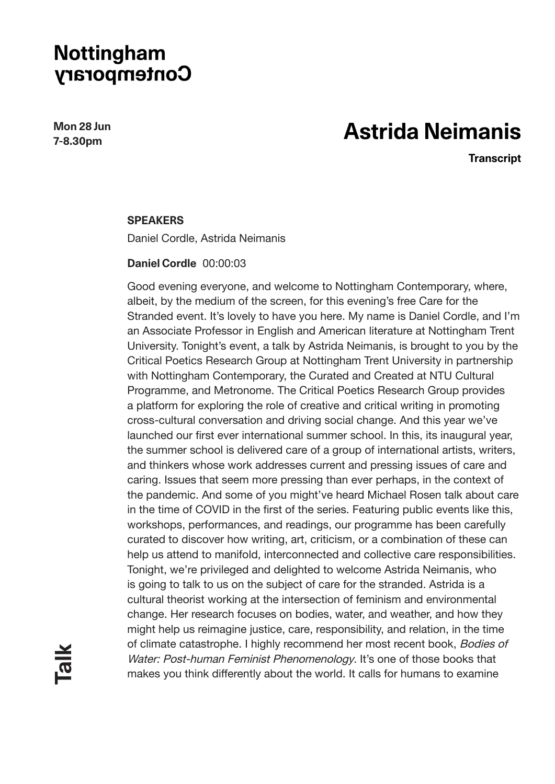**Mon 28 Jun 7-8.30pm**

# **Astrida Neimanis**

**Transcript**

#### **SPEAKERS**

Daniel Cordle, Astrida Neimanis

#### **Daniel Cordle** 00:00:03

Good evening everyone, and welcome to Nottingham Contemporary, where, albeit, by the medium of the screen, for this evening's free Care for the Stranded event. It's lovely to have you here. My name is Daniel Cordle, and I'm an Associate Professor in English and American literature at Nottingham Trent University. Tonight's event, a talk by Astrida Neimanis, is brought to you by the Critical Poetics Research Group at Nottingham Trent University in partnership with Nottingham Contemporary, the Curated and Created at NTU Cultural Programme, and Metronome. The Critical Poetics Research Group provides a platform for exploring the role of creative and critical writing in promoting cross-cultural conversation and driving social change. And this year we've launched our first ever international summer school. In this, its inaugural year, the summer school is delivered care of a group of international artists, writers, and thinkers whose work addresses current and pressing issues of care and caring. Issues that seem more pressing than ever perhaps, in the context of the pandemic. And some of you might've heard Michael Rosen talk about care in the time of COVID in the first of the series. Featuring public events like this, workshops, performances, and readings, our programme has been carefully curated to discover how writing, art, criticism, or a combination of these can help us attend to manifold, interconnected and collective care responsibilities. Tonight, we're privileged and delighted to welcome Astrida Neimanis, who is going to talk to us on the subject of care for the stranded. Astrida is a cultural theorist working at the intersection of feminism and environmental change. Her research focuses on bodies, water, and weather, and how they might help us reimagine justice, care, responsibility, and relation, in the time of climate catastrophe. I highly recommend her most recent book, Bodies of Water: Post-human Feminist Phenomenology. It's one of those books that makes you think differently about the world. It calls for humans to examine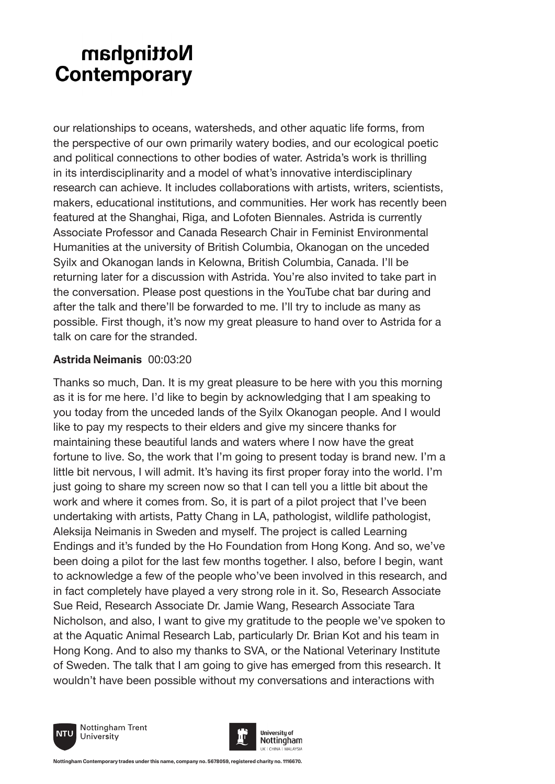our relationships to oceans, watersheds, and other aquatic life forms, from the perspective of our own primarily watery bodies, and our ecological poetic and political connections to other bodies of water. Astrida's work is thrilling in its interdisciplinarity and a model of what's innovative interdisciplinary research can achieve. It includes collaborations with artists, writers, scientists, makers, educational institutions, and communities. Her work has recently been featured at the Shanghai, Riga, and Lofoten Biennales. Astrida is currently Associate Professor and Canada Research Chair in Feminist Environmental Humanities at the university of British Columbia, Okanogan on the unceded Syilx and Okanogan lands in Kelowna, British Columbia, Canada. I'll be returning later for a discussion with Astrida. You're also invited to take part in the conversation. Please post questions in the YouTube chat bar during and after the talk and there'll be forwarded to me. I'll try to include as many as possible. First though, it's now my great pleasure to hand over to Astrida for a talk on care for the stranded.

#### **Astrida Neimanis** 00:03:20

Thanks so much, Dan. It is my great pleasure to be here with you this morning as it is for me here. I'd like to begin by acknowledging that I am speaking to you today from the unceded lands of the Syilx Okanogan people. And I would like to pay my respects to their elders and give my sincere thanks for maintaining these beautiful lands and waters where I now have the great fortune to live. So, the work that I'm going to present today is brand new. I'm a little bit nervous, I will admit. It's having its first proper foray into the world. I'm just going to share my screen now so that I can tell you a little bit about the work and where it comes from. So, it is part of a pilot project that I've been undertaking with artists, Patty Chang in LA, pathologist, wildlife pathologist, Aleksija Neimanis in Sweden and myself. The project is called Learning Endings and it's funded by the Ho Foundation from Hong Kong. And so, we've been doing a pilot for the last few months together. I also, before I begin, want to acknowledge a few of the people who've been involved in this research, and in fact completely have played a very strong role in it. So, Research Associate Sue Reid, Research Associate Dr. Jamie Wang, Research Associate Tara Nicholson, and also, I want to give my gratitude to the people we've spoken to at the Aquatic Animal Research Lab, particularly Dr. Brian Kot and his team in Hong Kong. And to also my thanks to SVA, or the National Veterinary Institute of Sweden. The talk that I am going to give has emerged from this research. It wouldn't have been possible without my conversations and interactions with



Nottingham Trent

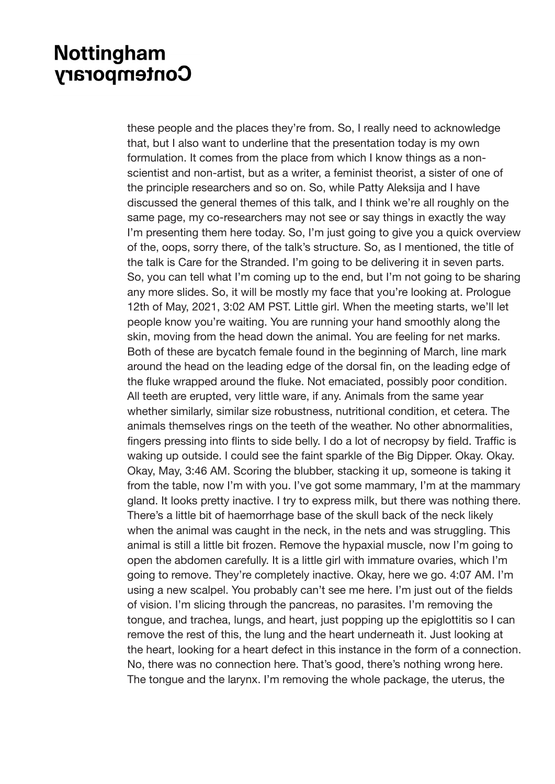these people and the places they're from. So, I really need to acknowledge that, but I also want to underline that the presentation today is my own formulation. It comes from the place from which I know things as a nonscientist and non-artist, but as a writer, a feminist theorist, a sister of one of the principle researchers and so on. So, while Patty Aleksija and I have discussed the general themes of this talk, and I think we're all roughly on the same page, my co-researchers may not see or say things in exactly the way I'm presenting them here today. So, I'm just going to give you a quick overview of the, oops, sorry there, of the talk's structure. So, as I mentioned, the title of the talk is Care for the Stranded. I'm going to be delivering it in seven parts. So, you can tell what I'm coming up to the end, but I'm not going to be sharing any more slides. So, it will be mostly my face that you're looking at. Prologue 12th of May, 2021, 3:02 AM PST. Little girl. When the meeting starts, we'll let people know you're waiting. You are running your hand smoothly along the skin, moving from the head down the animal. You are feeling for net marks. Both of these are bycatch female found in the beginning of March, line mark around the head on the leading edge of the dorsal fin, on the leading edge of the fluke wrapped around the fluke. Not emaciated, possibly poor condition. All teeth are erupted, very little ware, if any. Animals from the same year whether similarly, similar size robustness, nutritional condition, et cetera. The animals themselves rings on the teeth of the weather. No other abnormalities, fingers pressing into flints to side belly. I do a lot of necropsy by field. Traffic is waking up outside. I could see the faint sparkle of the Big Dipper. Okay. Okay. Okay, May, 3:46 AM. Scoring the blubber, stacking it up, someone is taking it from the table, now I'm with you. I've got some mammary, I'm at the mammary gland. It looks pretty inactive. I try to express milk, but there was nothing there. There's a little bit of haemorrhage base of the skull back of the neck likely when the animal was caught in the neck, in the nets and was struggling. This animal is still a little bit frozen. Remove the hypaxial muscle, now I'm going to open the abdomen carefully. It is a little girl with immature ovaries, which I'm going to remove. They're completely inactive. Okay, here we go. 4:07 AM. I'm using a new scalpel. You probably can't see me here. I'm just out of the fields of vision. I'm slicing through the pancreas, no parasites. I'm removing the tongue, and trachea, lungs, and heart, just popping up the epiglottitis so I can remove the rest of this, the lung and the heart underneath it. Just looking at the heart, looking for a heart defect in this instance in the form of a connection. No, there was no connection here. That's good, there's nothing wrong here. The tongue and the larynx. I'm removing the whole package, the uterus, the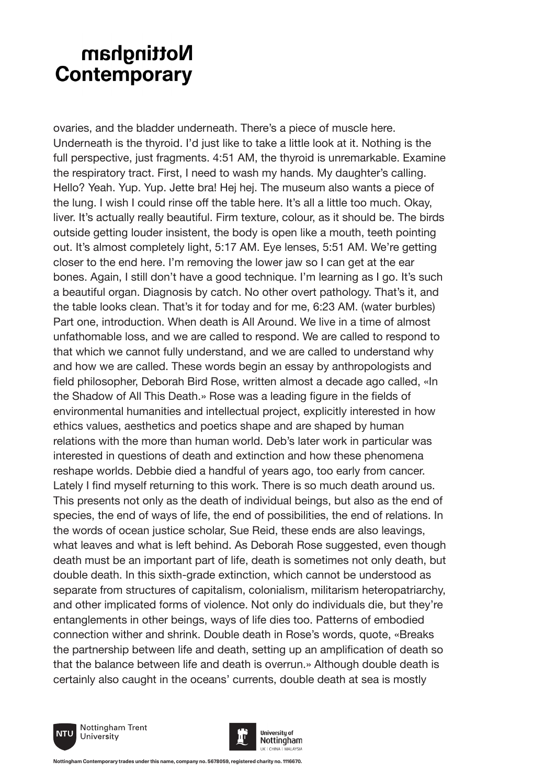ovaries, and the bladder underneath. There's a piece of muscle here. Underneath is the thyroid. I'd just like to take a little look at it. Nothing is the full perspective, just fragments. 4:51 AM, the thyroid is unremarkable. Examine the respiratory tract. First, I need to wash my hands. My daughter's calling. Hello? Yeah. Yup. Yup. Jette bra! Hej hej. The museum also wants a piece of the lung. I wish I could rinse off the table here. It's all a little too much. Okay, liver. It's actually really beautiful. Firm texture, colour, as it should be. The birds outside getting louder insistent, the body is open like a mouth, teeth pointing out. It's almost completely light, 5:17 AM. Eye lenses, 5:51 AM. We're getting closer to the end here. I'm removing the lower jaw so I can get at the ear bones. Again, I still don't have a good technique. I'm learning as I go. It's such a beautiful organ. Diagnosis by catch. No other overt pathology. That's it, and the table looks clean. That's it for today and for me, 6:23 AM. (water burbles) Part one, introduction. When death is All Around. We live in a time of almost unfathomable loss, and we are called to respond. We are called to respond to that which we cannot fully understand, and we are called to understand why and how we are called. These words begin an essay by anthropologists and field philosopher, Deborah Bird Rose, written almost a decade ago called, «In the Shadow of All This Death.» Rose was a leading figure in the fields of environmental humanities and intellectual project, explicitly interested in how ethics values, aesthetics and poetics shape and are shaped by human relations with the more than human world. Deb's later work in particular was interested in questions of death and extinction and how these phenomena reshape worlds. Debbie died a handful of years ago, too early from cancer. Lately I find myself returning to this work. There is so much death around us. This presents not only as the death of individual beings, but also as the end of species, the end of ways of life, the end of possibilities, the end of relations. In the words of ocean justice scholar, Sue Reid, these ends are also leavings, what leaves and what is left behind. As Deborah Rose suggested, even though death must be an important part of life, death is sometimes not only death, but double death. In this sixth-grade extinction, which cannot be understood as separate from structures of capitalism, colonialism, militarism heteropatriarchy, and other implicated forms of violence. Not only do individuals die, but they're entanglements in other beings, ways of life dies too. Patterns of embodied connection wither and shrink. Double death in Rose's words, quote, «Breaks the partnership between life and death, setting up an amplification of death so that the balance between life and death is overrun.» Although double death is certainly also caught in the oceans' currents, double death at sea is mostly





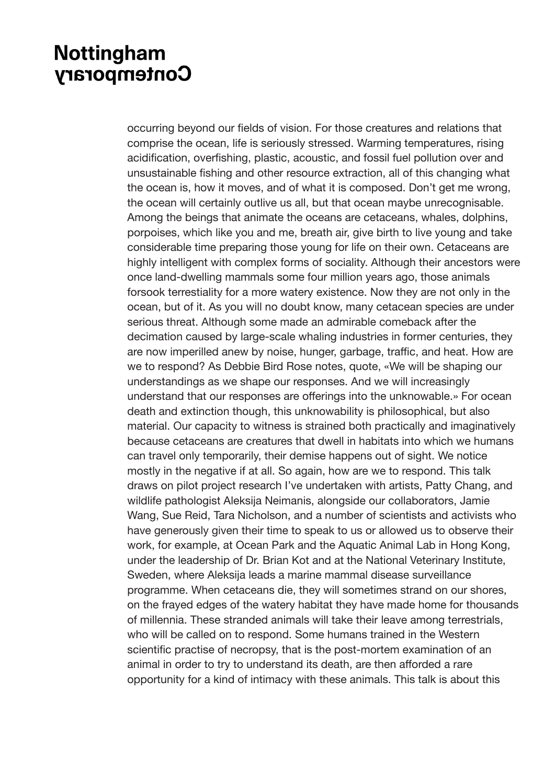occurring beyond our fields of vision. For those creatures and relations that comprise the ocean, life is seriously stressed. Warming temperatures, rising acidification, overfishing, plastic, acoustic, and fossil fuel pollution over and unsustainable fishing and other resource extraction, all of this changing what the ocean is, how it moves, and of what it is composed. Don't get me wrong, the ocean will certainly outlive us all, but that ocean maybe unrecognisable. Among the beings that animate the oceans are cetaceans, whales, dolphins, porpoises, which like you and me, breath air, give birth to live young and take considerable time preparing those young for life on their own. Cetaceans are highly intelligent with complex forms of sociality. Although their ancestors were once land-dwelling mammals some four million years ago, those animals forsook terrestiality for a more watery existence. Now they are not only in the ocean, but of it. As you will no doubt know, many cetacean species are under serious threat. Although some made an admirable comeback after the decimation caused by large-scale whaling industries in former centuries, they are now imperilled anew by noise, hunger, garbage, traffic, and heat. How are we to respond? As Debbie Bird Rose notes, quote, «We will be shaping our understandings as we shape our responses. And we will increasingly understand that our responses are offerings into the unknowable.» For ocean death and extinction though, this unknowability is philosophical, but also material. Our capacity to witness is strained both practically and imaginatively because cetaceans are creatures that dwell in habitats into which we humans can travel only temporarily, their demise happens out of sight. We notice mostly in the negative if at all. So again, how are we to respond. This talk draws on pilot project research I've undertaken with artists, Patty Chang, and wildlife pathologist Aleksija Neimanis, alongside our collaborators, Jamie Wang, Sue Reid, Tara Nicholson, and a number of scientists and activists who have generously given their time to speak to us or allowed us to observe their work, for example, at Ocean Park and the Aquatic Animal Lab in Hong Kong, under the leadership of Dr. Brian Kot and at the National Veterinary Institute, Sweden, where Aleksija leads a marine mammal disease surveillance programme. When cetaceans die, they will sometimes strand on our shores, on the frayed edges of the watery habitat they have made home for thousands of millennia. These stranded animals will take their leave among terrestrials, who will be called on to respond. Some humans trained in the Western scientific practise of necropsy, that is the post-mortem examination of an animal in order to try to understand its death, are then afforded a rare opportunity for a kind of intimacy with these animals. This talk is about this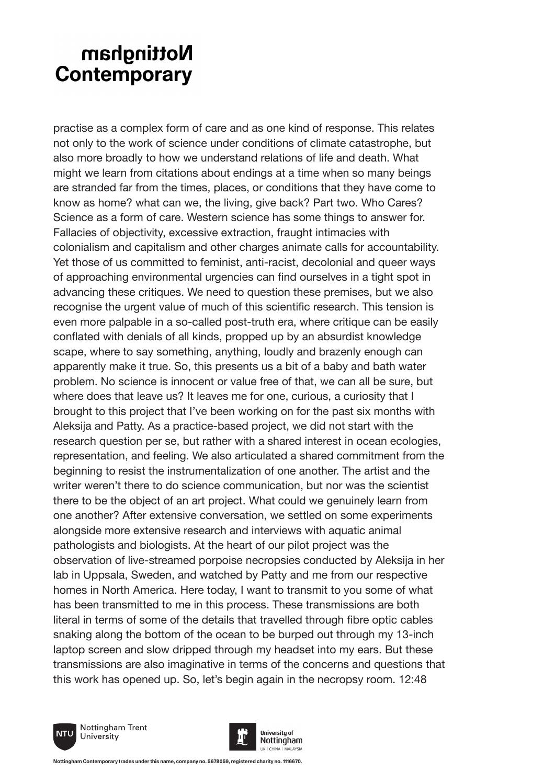practise as a complex form of care and as one kind of response. This relates not only to the work of science under conditions of climate catastrophe, but also more broadly to how we understand relations of life and death. What might we learn from citations about endings at a time when so many beings are stranded far from the times, places, or conditions that they have come to know as home? what can we, the living, give back? Part two. Who Cares? Science as a form of care. Western science has some things to answer for. Fallacies of objectivity, excessive extraction, fraught intimacies with colonialism and capitalism and other charges animate calls for accountability. Yet those of us committed to feminist, anti-racist, decolonial and queer ways of approaching environmental urgencies can find ourselves in a tight spot in advancing these critiques. We need to question these premises, but we also recognise the urgent value of much of this scientific research. This tension is even more palpable in a so-called post-truth era, where critique can be easily conflated with denials of all kinds, propped up by an absurdist knowledge scape, where to say something, anything, loudly and brazenly enough can apparently make it true. So, this presents us a bit of a baby and bath water problem. No science is innocent or value free of that, we can all be sure, but where does that leave us? It leaves me for one, curious, a curiosity that I brought to this project that I've been working on for the past six months with Aleksija and Patty. As a practice-based project, we did not start with the research question per se, but rather with a shared interest in ocean ecologies, representation, and feeling. We also articulated a shared commitment from the beginning to resist the instrumentalization of one another. The artist and the writer weren't there to do science communication, but nor was the scientist there to be the object of an art project. What could we genuinely learn from one another? After extensive conversation, we settled on some experiments alongside more extensive research and interviews with aquatic animal pathologists and biologists. At the heart of our pilot project was the observation of live-streamed porpoise necropsies conducted by Aleksija in her lab in Uppsala, Sweden, and watched by Patty and me from our respective homes in North America. Here today, I want to transmit to you some of what has been transmitted to me in this process. These transmissions are both literal in terms of some of the details that travelled through fibre optic cables snaking along the bottom of the ocean to be burped out through my 13-inch laptop screen and slow dripped through my headset into my ears. But these transmissions are also imaginative in terms of the concerns and questions that this work has opened up. So, let's begin again in the necropsy room. 12:48



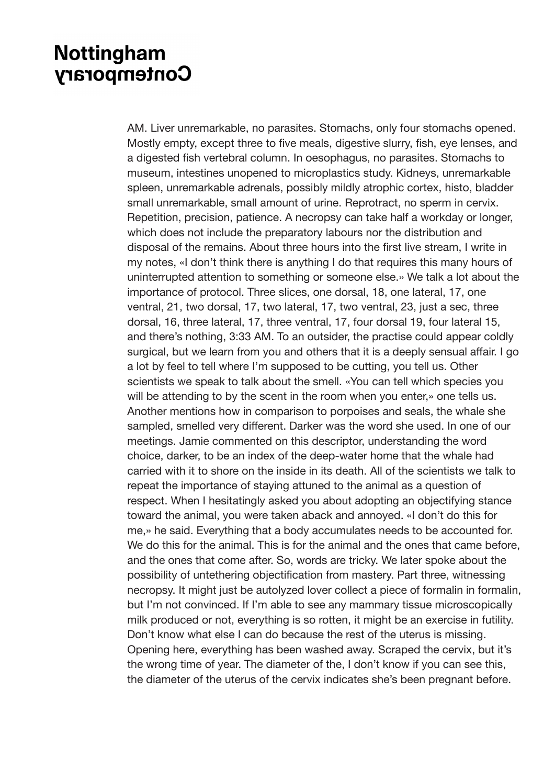AM. Liver unremarkable, no parasites. Stomachs, only four stomachs opened. Mostly empty, except three to five meals, digestive slurry, fish, eye lenses, and a digested fish vertebral column. In oesophagus, no parasites. Stomachs to museum, intestines unopened to microplastics study. Kidneys, unremarkable spleen, unremarkable adrenals, possibly mildly atrophic cortex, histo, bladder small unremarkable, small amount of urine. Reprotract, no sperm in cervix. Repetition, precision, patience. A necropsy can take half a workday or longer, which does not include the preparatory labours nor the distribution and disposal of the remains. About three hours into the first live stream, I write in my notes, «I don't think there is anything I do that requires this many hours of uninterrupted attention to something or someone else.» We talk a lot about the importance of protocol. Three slices, one dorsal, 18, one lateral, 17, one ventral, 21, two dorsal, 17, two lateral, 17, two ventral, 23, just a sec, three dorsal, 16, three lateral, 17, three ventral, 17, four dorsal 19, four lateral 15, and there's nothing, 3:33 AM. To an outsider, the practise could appear coldly surgical, but we learn from you and others that it is a deeply sensual affair. I go a lot by feel to tell where I'm supposed to be cutting, you tell us. Other scientists we speak to talk about the smell. «You can tell which species you will be attending to by the scent in the room when you enter,» one tells us. Another mentions how in comparison to porpoises and seals, the whale she sampled, smelled very different. Darker was the word she used. In one of our meetings. Jamie commented on this descriptor, understanding the word choice, darker, to be an index of the deep-water home that the whale had carried with it to shore on the inside in its death. All of the scientists we talk to repeat the importance of staying attuned to the animal as a question of respect. When I hesitatingly asked you about adopting an objectifying stance toward the animal, you were taken aback and annoyed. «I don't do this for me,» he said. Everything that a body accumulates needs to be accounted for. We do this for the animal. This is for the animal and the ones that came before, and the ones that come after. So, words are tricky. We later spoke about the possibility of untethering objectification from mastery. Part three, witnessing necropsy. It might just be autolyzed lover collect a piece of formalin in formalin, but I'm not convinced. If I'm able to see any mammary tissue microscopically milk produced or not, everything is so rotten, it might be an exercise in futility. Don't know what else I can do because the rest of the uterus is missing. Opening here, everything has been washed away. Scraped the cervix, but it's the wrong time of year. The diameter of the, I don't know if you can see this, the diameter of the uterus of the cervix indicates she's been pregnant before.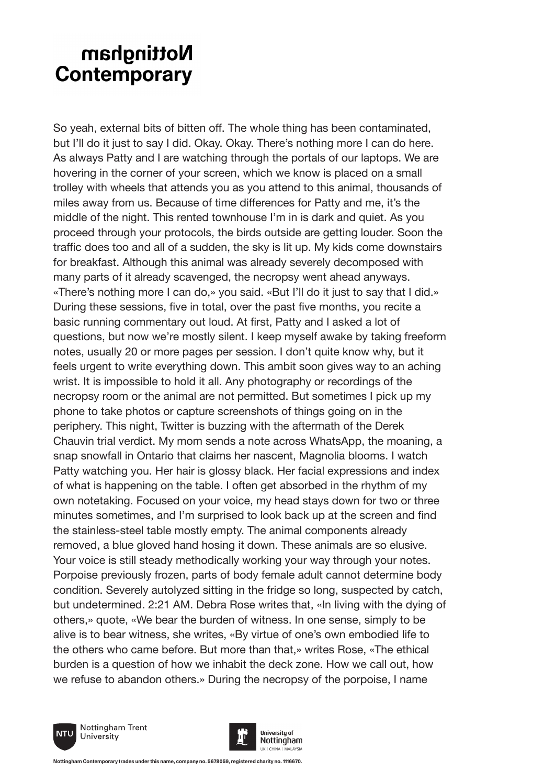So yeah, external bits of bitten off. The whole thing has been contaminated, but I'll do it just to say I did. Okay. Okay. There's nothing more I can do here. As always Patty and I are watching through the portals of our laptops. We are hovering in the corner of your screen, which we know is placed on a small trolley with wheels that attends you as you attend to this animal, thousands of miles away from us. Because of time differences for Patty and me, it's the middle of the night. This rented townhouse I'm in is dark and quiet. As you proceed through your protocols, the birds outside are getting louder. Soon the traffic does too and all of a sudden, the sky is lit up. My kids come downstairs for breakfast. Although this animal was already severely decomposed with many parts of it already scavenged, the necropsy went ahead anyways. «There's nothing more I can do,» you said. «But I'll do it just to say that I did.» During these sessions, five in total, over the past five months, you recite a basic running commentary out loud. At first, Patty and I asked a lot of questions, but now we're mostly silent. I keep myself awake by taking freeform notes, usually 20 or more pages per session. I don't quite know why, but it feels urgent to write everything down. This ambit soon gives way to an aching wrist. It is impossible to hold it all. Any photography or recordings of the necropsy room or the animal are not permitted. But sometimes I pick up my phone to take photos or capture screenshots of things going on in the periphery. This night, Twitter is buzzing with the aftermath of the Derek Chauvin trial verdict. My mom sends a note across WhatsApp, the moaning, a snap snowfall in Ontario that claims her nascent, Magnolia blooms. I watch Patty watching you. Her hair is glossy black. Her facial expressions and index of what is happening on the table. I often get absorbed in the rhythm of my own notetaking. Focused on your voice, my head stays down for two or three minutes sometimes, and I'm surprised to look back up at the screen and find the stainless-steel table mostly empty. The animal components already removed, a blue gloved hand hosing it down. These animals are so elusive. Your voice is still steady methodically working your way through your notes. Porpoise previously frozen, parts of body female adult cannot determine body condition. Severely autolyzed sitting in the fridge so long, suspected by catch, but undetermined. 2:21 AM. Debra Rose writes that, «In living with the dying of others,» quote, «We bear the burden of witness. In one sense, simply to be alive is to bear witness, she writes, «By virtue of one's own embodied life to the others who came before. But more than that,» writes Rose, «The ethical burden is a question of how we inhabit the deck zone. How we call out, how we refuse to abandon others.» During the necropsy of the porpoise, I name





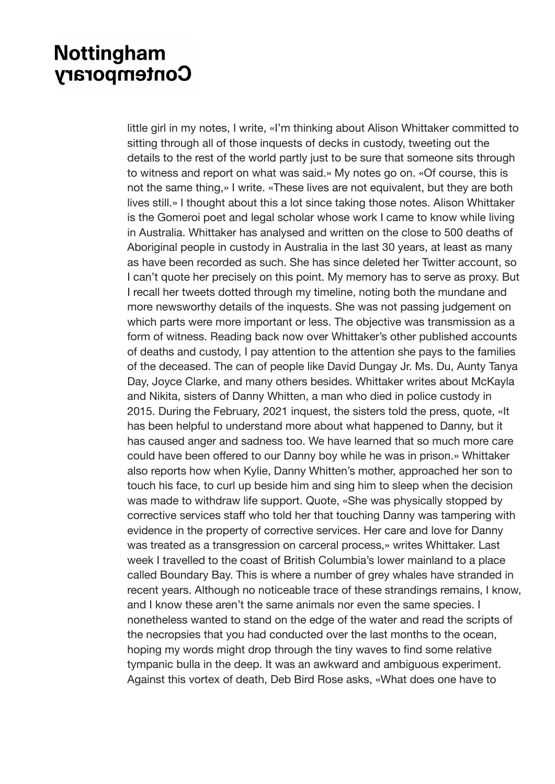little girl in my notes, I write, «I'm thinking about Alison Whittaker committed to sitting through all of those inquests of decks in custody, tweeting out the details to the rest of the world partly just to be sure that someone sits through to witness and report on what was said.» My notes go on. «Of course, this is not the same thing,» I write. «These lives are not equivalent, but they are both lives still.» I thought about this a lot since taking those notes. Alison Whittaker is the Gomeroi poet and legal scholar whose work I came to know while living in Australia. Whittaker has analysed and written on the close to 500 deaths of Aboriginal people in custody in Australia in the last 30 years, at least as many as have been recorded as such. She has since deleted her Twitter account, so I can't quote her precisely on this point. My memory has to serve as proxy. But I recall her tweets dotted through my timeline, noting both the mundane and more newsworthy details of the inquests. She was not passing judgement on which parts were more important or less. The objective was transmission as a form of witness. Reading back now over Whittaker's other published accounts of deaths and custody, I pay attention to the attention she pays to the families of the deceased. The can of people like David Dungay Jr. Ms. Du, Aunty Tanya Day, Joyce Clarke, and many others besides. Whittaker writes about McKayla and Nikita, sisters of Danny Whitten, a man who died in police custody in 2015. During the February, 2021 inquest, the sisters told the press, quote, «It has been helpful to understand more about what happened to Danny, but it has caused anger and sadness too. We have learned that so much more care could have been offered to our Danny boy while he was in prison.» Whittaker also reports how when Kylie, Danny Whitten's mother, approached her son to touch his face, to curl up beside him and sing him to sleep when the decision was made to withdraw life support. Quote, «She was physically stopped by corrective services staff who told her that touching Danny was tampering with evidence in the property of corrective services. Her care and love for Danny was treated as a transgression on carceral process,» writes Whittaker. Last week I travelled to the coast of British Columbia's lower mainland to a place called Boundary Bay. This is where a number of grey whales have stranded in recent years. Although no noticeable trace of these strandings remains, I know, and I know these aren't the same animals nor even the same species. I nonetheless wanted to stand on the edge of the water and read the scripts of the necropsies that you had conducted over the last months to the ocean, hoping my words might drop through the tiny waves to find some relative tympanic bulla in the deep. It was an awkward and ambiguous experiment. Against this vortex of death, Deb Bird Rose asks, «What does one have to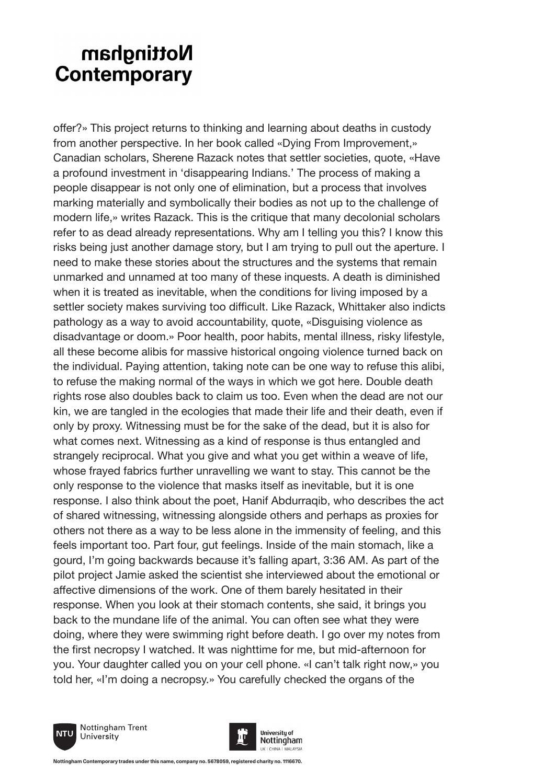offer?» This project returns to thinking and learning about deaths in custody from another perspective. In her book called «Dying From Improvement,» Canadian scholars, Sherene Razack notes that settler societies, quote, «Have a profound investment in 'disappearing Indians.' The process of making a people disappear is not only one of elimination, but a process that involves marking materially and symbolically their bodies as not up to the challenge of modern life,» writes Razack. This is the critique that many decolonial scholars refer to as dead already representations. Why am I telling you this? I know this risks being just another damage story, but I am trying to pull out the aperture. I need to make these stories about the structures and the systems that remain unmarked and unnamed at too many of these inquests. A death is diminished when it is treated as inevitable, when the conditions for living imposed by a settler society makes surviving too difficult. Like Razack, Whittaker also indicts pathology as a way to avoid accountability, quote, «Disguising violence as disadvantage or doom.» Poor health, poor habits, mental illness, risky lifestyle, all these become alibis for massive historical ongoing violence turned back on the individual. Paying attention, taking note can be one way to refuse this alibi, to refuse the making normal of the ways in which we got here. Double death rights rose also doubles back to claim us too. Even when the dead are not our kin, we are tangled in the ecologies that made their life and their death, even if only by proxy. Witnessing must be for the sake of the dead, but it is also for what comes next. Witnessing as a kind of response is thus entangled and strangely reciprocal. What you give and what you get within a weave of life, whose frayed fabrics further unravelling we want to stay. This cannot be the only response to the violence that masks itself as inevitable, but it is one response. I also think about the poet, Hanif Abdurraqib, who describes the act of shared witnessing, witnessing alongside others and perhaps as proxies for others not there as a way to be less alone in the immensity of feeling, and this feels important too. Part four, gut feelings. Inside of the main stomach, like a gourd, I'm going backwards because it's falling apart, 3:36 AM. As part of the pilot project Jamie asked the scientist she interviewed about the emotional or affective dimensions of the work. One of them barely hesitated in their response. When you look at their stomach contents, she said, it brings you back to the mundane life of the animal. You can often see what they were doing, where they were swimming right before death. I go over my notes from the first necropsy I watched. It was nighttime for me, but mid-afternoon for you. Your daughter called you on your cell phone. «I can't talk right now,» you told her, «I'm doing a necropsy.» You carefully checked the organs of the



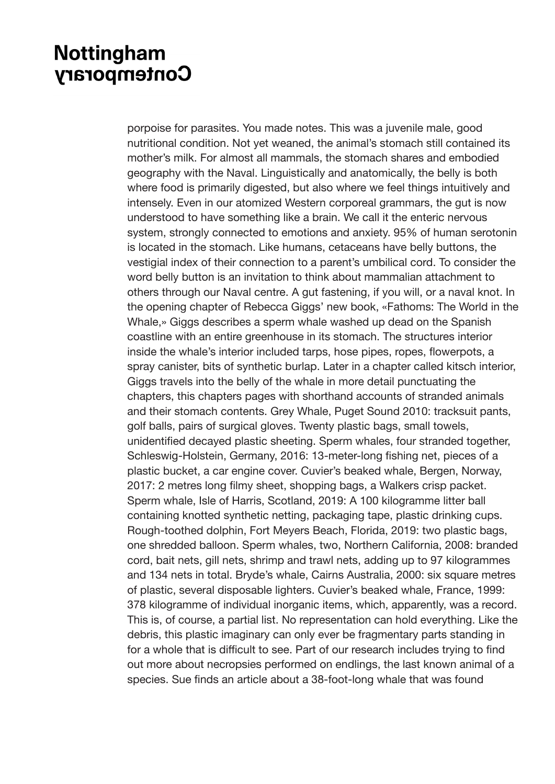porpoise for parasites. You made notes. This was a juvenile male, good nutritional condition. Not yet weaned, the animal's stomach still contained its mother's milk. For almost all mammals, the stomach shares and embodied geography with the Naval. Linguistically and anatomically, the belly is both where food is primarily digested, but also where we feel things intuitively and intensely. Even in our atomized Western corporeal grammars, the gut is now understood to have something like a brain. We call it the enteric nervous system, strongly connected to emotions and anxiety. 95% of human serotonin is located in the stomach. Like humans, cetaceans have belly buttons, the vestigial index of their connection to a parent's umbilical cord. To consider the word belly button is an invitation to think about mammalian attachment to others through our Naval centre. A gut fastening, if you will, or a naval knot. In the opening chapter of Rebecca Giggs' new book, «Fathoms: The World in the Whale,» Giggs describes a sperm whale washed up dead on the Spanish coastline with an entire greenhouse in its stomach. The structures interior inside the whale's interior included tarps, hose pipes, ropes, flowerpots, a spray canister, bits of synthetic burlap. Later in a chapter called kitsch interior, Giggs travels into the belly of the whale in more detail punctuating the chapters, this chapters pages with shorthand accounts of stranded animals and their stomach contents. Grey Whale, Puget Sound 2010: tracksuit pants, golf balls, pairs of surgical gloves. Twenty plastic bags, small towels, unidentified decayed plastic sheeting. Sperm whales, four stranded together, Schleswig-Holstein, Germany, 2016: 13-meter-long fishing net, pieces of a plastic bucket, a car engine cover. Cuvier's beaked whale, Bergen, Norway, 2017: 2 metres long filmy sheet, shopping bags, a Walkers crisp packet. Sperm whale, Isle of Harris, Scotland, 2019: A 100 kilogramme litter ball containing knotted synthetic netting, packaging tape, plastic drinking cups. Rough-toothed dolphin, Fort Meyers Beach, Florida, 2019: two plastic bags, one shredded balloon. Sperm whales, two, Northern California, 2008: branded cord, bait nets, gill nets, shrimp and trawl nets, adding up to 97 kilogrammes and 134 nets in total. Bryde's whale, Cairns Australia, 2000: six square metres of plastic, several disposable lighters. Cuvier's beaked whale, France, 1999: 378 kilogramme of individual inorganic items, which, apparently, was a record. This is, of course, a partial list. No representation can hold everything. Like the debris, this plastic imaginary can only ever be fragmentary parts standing in for a whole that is difficult to see. Part of our research includes trying to find out more about necropsies performed on endlings, the last known animal of a species. Sue finds an article about a 38-foot-long whale that was found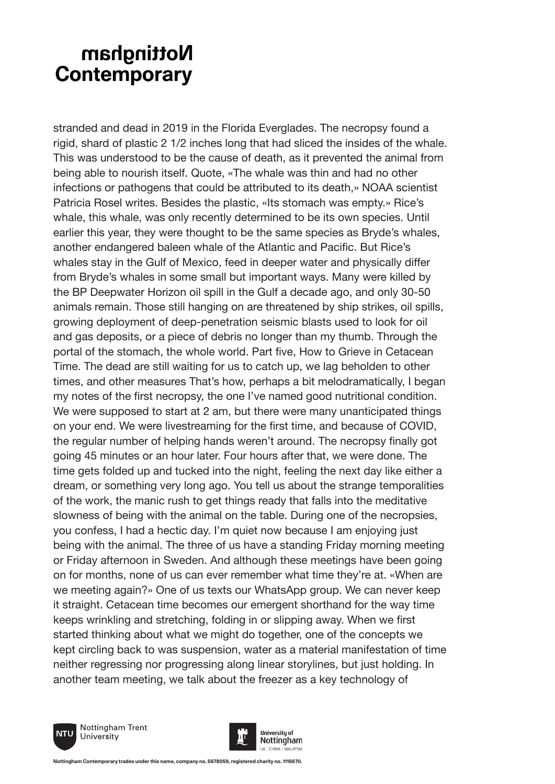stranded and dead in 2019 in the Florida Everglades. The necropsy found a rigid, shard of plastic 2 1/2 inches long that had sliced the insides of the whale. This was understood to be the cause of death, as it prevented the animal from being able to nourish itself. Quote, «The whale was thin and had no other infections or pathogens that could be attributed to its death,» NOAA scientist Patricia Rosel writes. Besides the plastic, «Its stomach was empty.» Rice's whale, this whale, was only recently determined to be its own species. Until earlier this year, they were thought to be the same species as Bryde's whales, another endangered baleen whale of the Atlantic and Pacific. But Rice's whales stay in the Gulf of Mexico, feed in deeper water and physically differ from Bryde's whales in some small but important ways. Many were killed by the BP Deepwater Horizon oil spill in the Gulf a decade ago, and only 30-50 animals remain. Those still hanging on are threatened by ship strikes, oil spills, growing deployment of deep-penetration seismic blasts used to look for oil and gas deposits, or a piece of debris no longer than my thumb. Through the portal of the stomach, the whole world. Part five, How to Grieve in Cetacean Time. The dead are still waiting for us to catch up, we lag beholden to other times, and other measures That's how, perhaps a bit melodramatically, I began my notes of the first necropsy, the one I've named good nutritional condition. We were supposed to start at 2 am, but there were many unanticipated things on your end. We were livestreaming for the first time, and because of COVID, the regular number of helping hands weren't around. The necropsy finally got going 45 minutes or an hour later. Four hours after that, we were done. The time gets folded up and tucked into the night, feeling the next day like either a dream, or something very long ago. You tell us about the strange temporalities of the work, the manic rush to get things ready that falls into the meditative slowness of being with the animal on the table. During one of the necropsies, you confess, I had a hectic day. I'm quiet now because I am enjoying just being with the animal. The three of us have a standing Friday morning meeting or Friday afternoon in Sweden. And although these meetings have been going on for months, none of us can ever remember what time they're at. «When are we meeting again?» One of us texts our WhatsApp group. We can never keep it straight. Cetacean time becomes our emergent shorthand for the way time keeps wrinkling and stretching, folding in or slipping away. When we first started thinking about what we might do together, one of the concepts we kept circling back to was suspension, water as a material manifestation of time neither regressing nor progressing along linear storylines, but just holding. In another team meeting, we talk about the freezer as a key technology of



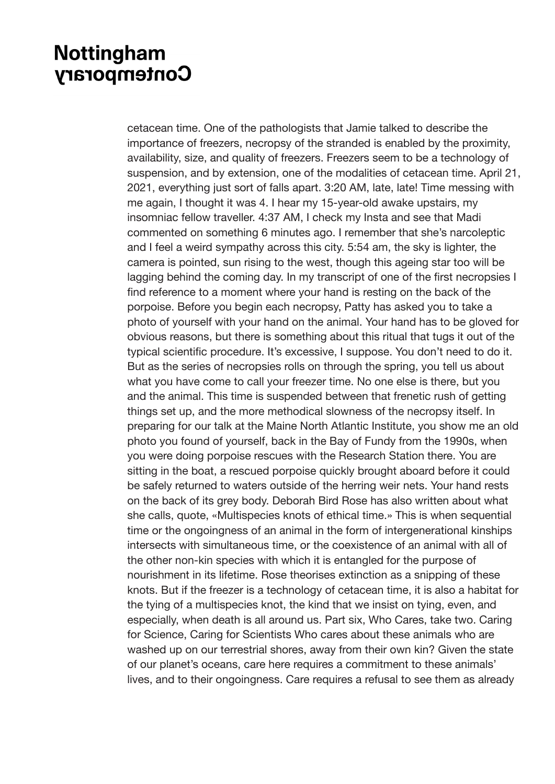cetacean time. One of the pathologists that Jamie talked to describe the importance of freezers, necropsy of the stranded is enabled by the proximity, availability, size, and quality of freezers. Freezers seem to be a technology of suspension, and by extension, one of the modalities of cetacean time. April 21, 2021, everything just sort of falls apart. 3:20 AM, late, late! Time messing with me again, I thought it was 4. I hear my 15-year-old awake upstairs, my insomniac fellow traveller. 4:37 AM, I check my Insta and see that Madi commented on something 6 minutes ago. I remember that she's narcoleptic and I feel a weird sympathy across this city. 5:54 am, the sky is lighter, the camera is pointed, sun rising to the west, though this ageing star too will be lagging behind the coming day. In my transcript of one of the first necropsies I find reference to a moment where your hand is resting on the back of the porpoise. Before you begin each necropsy, Patty has asked you to take a photo of yourself with your hand on the animal. Your hand has to be gloved for obvious reasons, but there is something about this ritual that tugs it out of the typical scientific procedure. It's excessive, I suppose. You don't need to do it. But as the series of necropsies rolls on through the spring, you tell us about what you have come to call your freezer time. No one else is there, but you and the animal. This time is suspended between that frenetic rush of getting things set up, and the more methodical slowness of the necropsy itself. In preparing for our talk at the Maine North Atlantic Institute, you show me an old photo you found of yourself, back in the Bay of Fundy from the 1990s, when you were doing porpoise rescues with the Research Station there. You are sitting in the boat, a rescued porpoise quickly brought aboard before it could be safely returned to waters outside of the herring weir nets. Your hand rests on the back of its grey body. Deborah Bird Rose has also written about what she calls, quote, «Multispecies knots of ethical time.» This is when sequential time or the ongoingness of an animal in the form of intergenerational kinships intersects with simultaneous time, or the coexistence of an animal with all of the other non-kin species with which it is entangled for the purpose of nourishment in its lifetime. Rose theorises extinction as a snipping of these knots. But if the freezer is a technology of cetacean time, it is also a habitat for the tying of a multispecies knot, the kind that we insist on tying, even, and especially, when death is all around us. Part six, Who Cares, take two. Caring for Science, Caring for Scientists Who cares about these animals who are washed up on our terrestrial shores, away from their own kin? Given the state of our planet's oceans, care here requires a commitment to these animals' lives, and to their ongoingness. Care requires a refusal to see them as already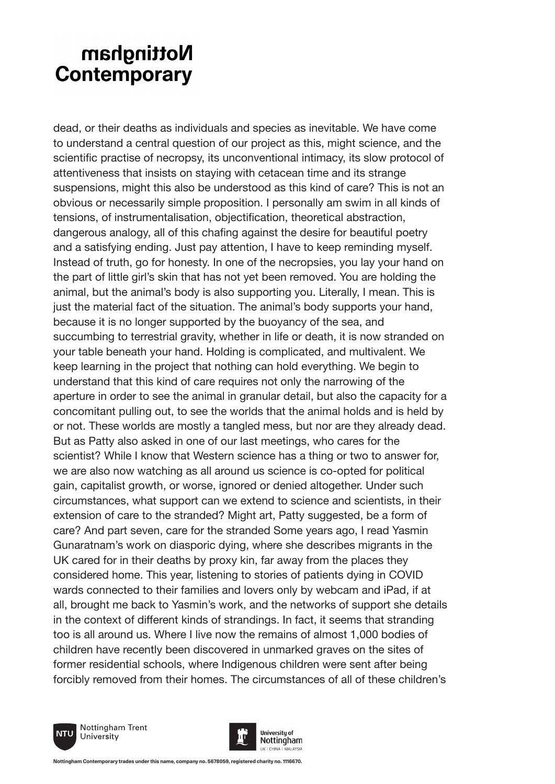dead, or their deaths as individuals and species as inevitable. We have come to understand a central question of our project as this, might science, and the scientific practise of necropsy, its unconventional intimacy, its slow protocol of attentiveness that insists on staying with cetacean time and its strange suspensions, might this also be understood as this kind of care? This is not an obvious or necessarily simple proposition. I personally am swim in all kinds of tensions, of instrumentalisation, objectification, theoretical abstraction, dangerous analogy, all of this chafing against the desire for beautiful poetry and a satisfying ending. Just pay attention, I have to keep reminding myself. Instead of truth, go for honesty. In one of the necropsies, you lay your hand on the part of little girl's skin that has not yet been removed. You are holding the animal, but the animal's body is also supporting you. Literally, I mean. This is just the material fact of the situation. The animal's body supports your hand, because it is no longer supported by the buoyancy of the sea, and succumbing to terrestrial gravity, whether in life or death, it is now stranded on your table beneath your hand. Holding is complicated, and multivalent. We keep learning in the project that nothing can hold everything. We begin to understand that this kind of care requires not only the narrowing of the aperture in order to see the animal in granular detail, but also the capacity for a concomitant pulling out, to see the worlds that the animal holds and is held by or not. These worlds are mostly a tangled mess, but nor are they already dead. But as Patty also asked in one of our last meetings, who cares for the scientist? While I know that Western science has a thing or two to answer for, we are also now watching as all around us science is co-opted for political gain, capitalist growth, or worse, ignored or denied altogether. Under such circumstances, what support can we extend to science and scientists, in their extension of care to the stranded? Might art, Patty suggested, be a form of care? And part seven, care for the stranded Some years ago, I read Yasmin Gunaratnam's work on diasporic dying, where she describes migrants in the UK cared for in their deaths by proxy kin, far away from the places they considered home. This year, listening to stories of patients dying in COVID wards connected to their families and lovers only by webcam and iPad, if at all, brought me back to Yasmin's work, and the networks of support she details in the context of different kinds of strandings. In fact, it seems that stranding too is all around us. Where I live now the remains of almost 1,000 bodies of children have recently been discovered in unmarked graves on the sites of former residential schools, where Indigenous children were sent after being forcibly removed from their homes. The circumstances of all of these children's



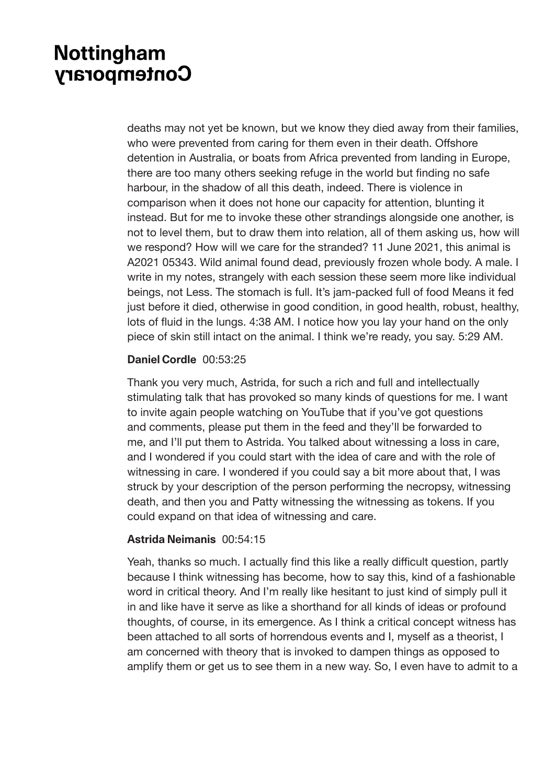deaths may not yet be known, but we know they died away from their families, who were prevented from caring for them even in their death. Offshore detention in Australia, or boats from Africa prevented from landing in Europe, there are too many others seeking refuge in the world but finding no safe harbour, in the shadow of all this death, indeed. There is violence in comparison when it does not hone our capacity for attention, blunting it instead. But for me to invoke these other strandings alongside one another, is not to level them, but to draw them into relation, all of them asking us, how will we respond? How will we care for the stranded? 11 June 2021, this animal is A2021 05343. Wild animal found dead, previously frozen whole body. A male. I write in my notes, strangely with each session these seem more like individual beings, not Less. The stomach is full. It's jam-packed full of food Means it fed just before it died, otherwise in good condition, in good health, robust, healthy, lots of fluid in the lungs. 4:38 AM. I notice how you lay your hand on the only piece of skin still intact on the animal. I think we're ready, you say. 5:29 AM.

#### **Daniel Cordle** 00:53:25

Thank you very much, Astrida, for such a rich and full and intellectually stimulating talk that has provoked so many kinds of questions for me. I want to invite again people watching on YouTube that if you've got questions and comments, please put them in the feed and they'll be forwarded to me, and I'll put them to Astrida. You talked about witnessing a loss in care, and I wondered if you could start with the idea of care and with the role of witnessing in care. I wondered if you could say a bit more about that, I was struck by your description of the person performing the necropsy, witnessing death, and then you and Patty witnessing the witnessing as tokens. If you could expand on that idea of witnessing and care.

#### **Astrida Neimanis** 00:54:15

Yeah, thanks so much. I actually find this like a really difficult question, partly because I think witnessing has become, how to say this, kind of a fashionable word in critical theory. And I'm really like hesitant to just kind of simply pull it in and like have it serve as like a shorthand for all kinds of ideas or profound thoughts, of course, in its emergence. As I think a critical concept witness has been attached to all sorts of horrendous events and I, myself as a theorist, I am concerned with theory that is invoked to dampen things as opposed to amplify them or get us to see them in a new way. So, I even have to admit to a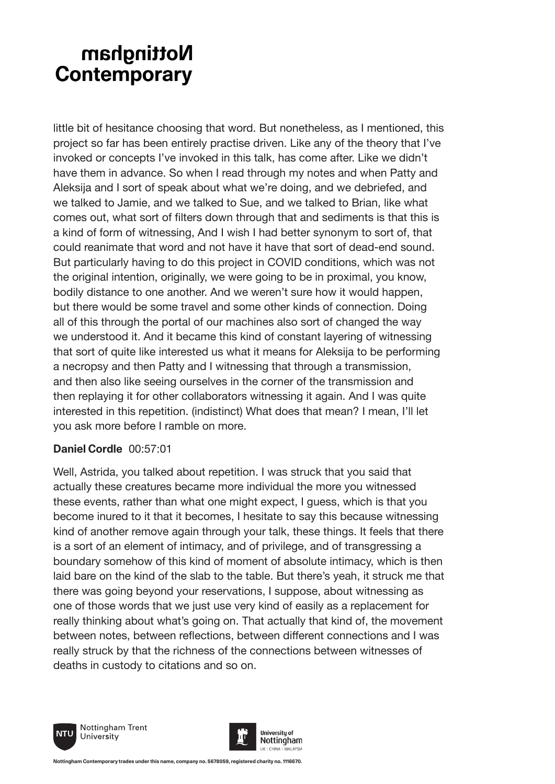little bit of hesitance choosing that word. But nonetheless, as I mentioned, this project so far has been entirely practise driven. Like any of the theory that I've invoked or concepts I've invoked in this talk, has come after. Like we didn't have them in advance. So when I read through my notes and when Patty and Aleksija and I sort of speak about what we're doing, and we debriefed, and we talked to Jamie, and we talked to Sue, and we talked to Brian, like what comes out, what sort of filters down through that and sediments is that this is a kind of form of witnessing, And I wish I had better synonym to sort of, that could reanimate that word and not have it have that sort of dead-end sound. But particularly having to do this project in COVID conditions, which was not the original intention, originally, we were going to be in proximal, you know, bodily distance to one another. And we weren't sure how it would happen, but there would be some travel and some other kinds of connection. Doing all of this through the portal of our machines also sort of changed the way we understood it. And it became this kind of constant layering of witnessing that sort of quite like interested us what it means for Aleksija to be performing a necropsy and then Patty and I witnessing that through a transmission, and then also like seeing ourselves in the corner of the transmission and then replaying it for other collaborators witnessing it again. And I was quite interested in this repetition. (indistinct) What does that mean? I mean, I'll let you ask more before I ramble on more.

#### **Daniel Cordle** 00:57:01

Well, Astrida, you talked about repetition. I was struck that you said that actually these creatures became more individual the more you witnessed these events, rather than what one might expect, I guess, which is that you become inured to it that it becomes, I hesitate to say this because witnessing kind of another remove again through your talk, these things. It feels that there is a sort of an element of intimacy, and of privilege, and of transgressing a boundary somehow of this kind of moment of absolute intimacy, which is then laid bare on the kind of the slab to the table. But there's yeah, it struck me that there was going beyond your reservations, I suppose, about witnessing as one of those words that we just use very kind of easily as a replacement for really thinking about what's going on. That actually that kind of, the movement between notes, between reflections, between different connections and I was really struck by that the richness of the connections between witnesses of deaths in custody to citations and so on.



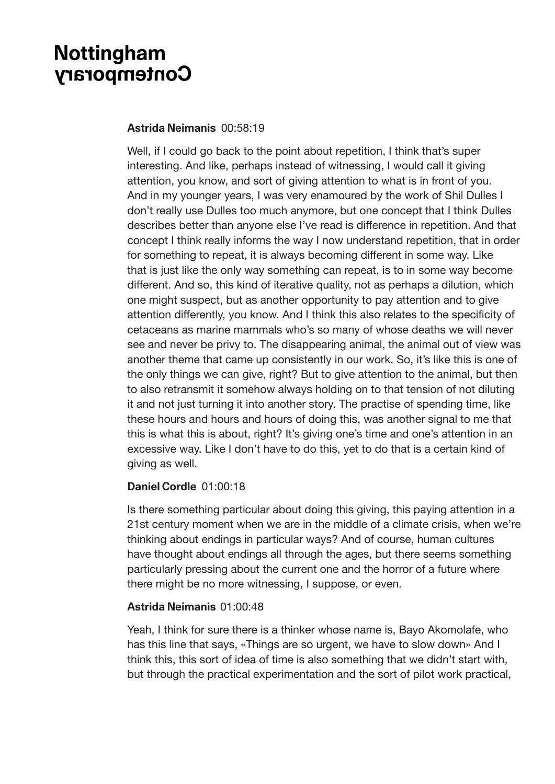#### **Astrida Neimanis** 00:58:19

Well, if I could go back to the point about repetition, I think that's super interesting. And like, perhaps instead of witnessing, I would call it giving attention, you know, and sort of giving attention to what is in front of you. And in my younger years, I was very enamoured by the work of Shil Dulles I don't really use Dulles too much anymore, but one concept that I think Dulles describes better than anyone else I've read is difference in repetition. And that concept I think really informs the way I now understand repetition, that in order for something to repeat, it is always becoming different in some way. Like that is just like the only way something can repeat, is to in some way become different. And so, this kind of iterative quality, not as perhaps a dilution, which one might suspect, but as another opportunity to pay attention and to give attention differently, you know. And I think this also relates to the specificity of cetaceans as marine mammals who's so many of whose deaths we will never see and never be privy to. The disappearing animal, the animal out of view was another theme that came up consistently in our work. So, it's like this is one of the only things we can give, right? But to give attention to the animal, but then to also retransmit it somehow always holding on to that tension of not diluting it and not just turning it into another story. The practise of spending time, like these hours and hours and hours of doing this, was another signal to me that this is what this is about, right? It's giving one's time and one's attention in an excessive way. Like I don't have to do this, yet to do that is a certain kind of giving as well.

#### **Daniel Cordle** 01:00:18

Is there something particular about doing this giving, this paying attention in a 21st century moment when we are in the middle of a climate crisis, when we're thinking about endings in particular ways? And of course, human cultures have thought about endings all through the ages, but there seems something particularly pressing about the current one and the horror of a future where there might be no more witnessing, I suppose, or even.

#### **Astrida Neimanis** 01:00:48

Yeah, I think for sure there is a thinker whose name is, Bayo Akomolafe, who has this line that says, «Things are so urgent, we have to slow down» And I think this, this sort of idea of time is also something that we didn't start with, but through the practical experimentation and the sort of pilot work practical,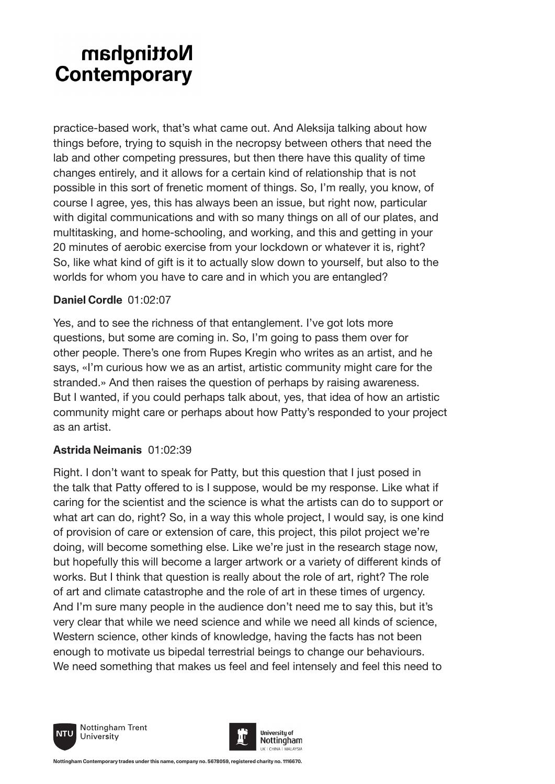practice-based work, that's what came out. And Aleksija talking about how things before, trying to squish in the necropsy between others that need the lab and other competing pressures, but then there have this quality of time changes entirely, and it allows for a certain kind of relationship that is not possible in this sort of frenetic moment of things. So, I'm really, you know, of course I agree, yes, this has always been an issue, but right now, particular with digital communications and with so many things on all of our plates, and multitasking, and home-schooling, and working, and this and getting in your 20 minutes of aerobic exercise from your lockdown or whatever it is, right? So, like what kind of gift is it to actually slow down to yourself, but also to the worlds for whom you have to care and in which you are entangled?

#### **Daniel Cordle** 01:02:07

Yes, and to see the richness of that entanglement. I've got lots more questions, but some are coming in. So, I'm going to pass them over for other people. There's one from Rupes Kregin who writes as an artist, and he says, «I'm curious how we as an artist, artistic community might care for the stranded.» And then raises the question of perhaps by raising awareness. But I wanted, if you could perhaps talk about, yes, that idea of how an artistic community might care or perhaps about how Patty's responded to your project as an artist.

### **Astrida Neimanis** 01:02:39

Right. I don't want to speak for Patty, but this question that I just posed in the talk that Patty offered to is I suppose, would be my response. Like what if caring for the scientist and the science is what the artists can do to support or what art can do, right? So, in a way this whole project, I would say, is one kind of provision of care or extension of care, this project, this pilot project we're doing, will become something else. Like we're just in the research stage now, but hopefully this will become a larger artwork or a variety of different kinds of works. But I think that question is really about the role of art, right? The role of art and climate catastrophe and the role of art in these times of urgency. And I'm sure many people in the audience don't need me to say this, but it's very clear that while we need science and while we need all kinds of science, Western science, other kinds of knowledge, having the facts has not been enough to motivate us bipedal terrestrial beings to change our behaviours. We need something that makes us feel and feel intensely and feel this need to



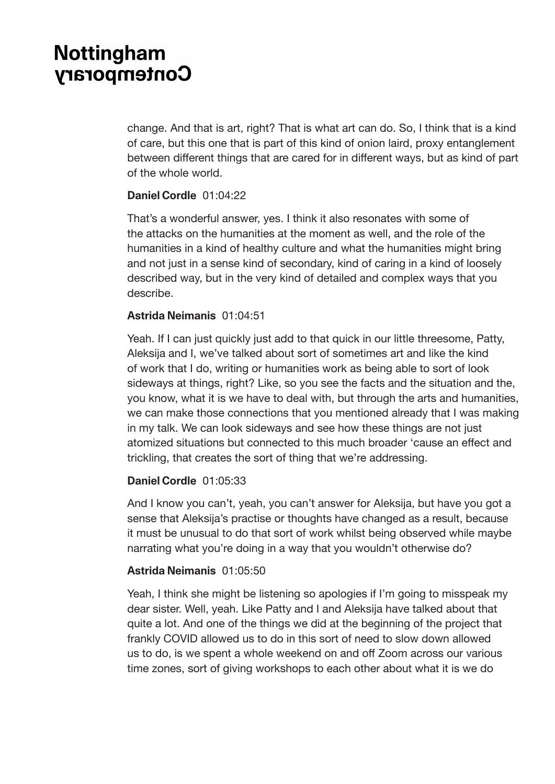change. And that is art, right? That is what art can do. So, I think that is a kind of care, but this one that is part of this kind of onion laird, proxy entanglement between different things that are cared for in different ways, but as kind of part of the whole world.

#### **Daniel Cordle** 01:04:22

That's a wonderful answer, yes. I think it also resonates with some of the attacks on the humanities at the moment as well, and the role of the humanities in a kind of healthy culture and what the humanities might bring and not just in a sense kind of secondary, kind of caring in a kind of loosely described way, but in the very kind of detailed and complex ways that you describe.

#### **Astrida Neimanis** 01:04:51

Yeah. If I can just quickly just add to that quick in our little threesome, Patty, Aleksija and I, we've talked about sort of sometimes art and like the kind of work that I do, writing or humanities work as being able to sort of look sideways at things, right? Like, so you see the facts and the situation and the, you know, what it is we have to deal with, but through the arts and humanities, we can make those connections that you mentioned already that I was making in my talk. We can look sideways and see how these things are not just atomized situations but connected to this much broader 'cause an effect and trickling, that creates the sort of thing that we're addressing.

#### **Daniel Cordle** 01:05:33

And I know you can't, yeah, you can't answer for Aleksija, but have you got a sense that Aleksija's practise or thoughts have changed as a result, because it must be unusual to do that sort of work whilst being observed while maybe narrating what you're doing in a way that you wouldn't otherwise do?

#### **Astrida Neimanis** 01:05:50

Yeah, I think she might be listening so apologies if I'm going to misspeak my dear sister. Well, yeah. Like Patty and I and Aleksija have talked about that quite a lot. And one of the things we did at the beginning of the project that frankly COVID allowed us to do in this sort of need to slow down allowed us to do, is we spent a whole weekend on and off Zoom across our various time zones, sort of giving workshops to each other about what it is we do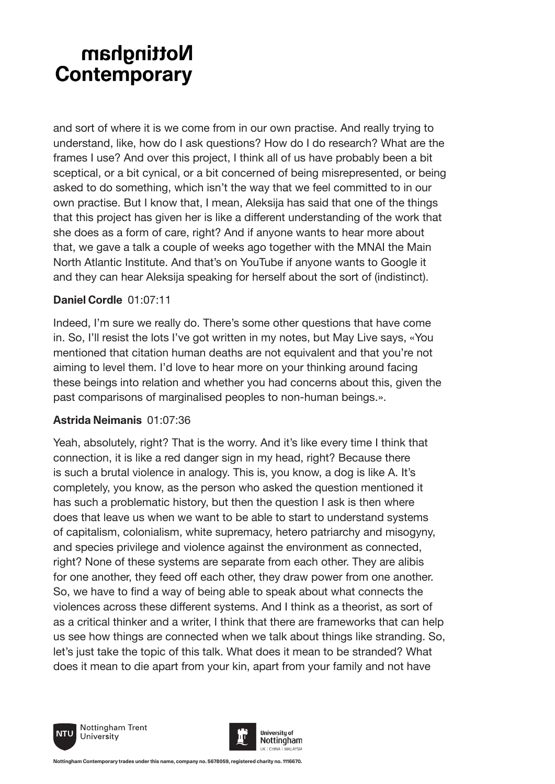and sort of where it is we come from in our own practise. And really trying to understand, like, how do I ask questions? How do I do research? What are the frames I use? And over this project, I think all of us have probably been a bit sceptical, or a bit cynical, or a bit concerned of being misrepresented, or being asked to do something, which isn't the way that we feel committed to in our own practise. But I know that, I mean, Aleksija has said that one of the things that this project has given her is like a different understanding of the work that she does as a form of care, right? And if anyone wants to hear more about that, we gave a talk a couple of weeks ago together with the MNAI the Main North Atlantic Institute. And that's on YouTube if anyone wants to Google it and they can hear Aleksija speaking for herself about the sort of (indistinct).

#### **Daniel Cordle** 01:07:11

Indeed, I'm sure we really do. There's some other questions that have come in. So, I'll resist the lots I've got written in my notes, but May Live says, «You mentioned that citation human deaths are not equivalent and that you're not aiming to level them. I'd love to hear more on your thinking around facing these beings into relation and whether you had concerns about this, given the past comparisons of marginalised peoples to non-human beings.».

### **Astrida Neimanis** 01:07:36

Yeah, absolutely, right? That is the worry. And it's like every time I think that connection, it is like a red danger sign in my head, right? Because there is such a brutal violence in analogy. This is, you know, a dog is like A. It's completely, you know, as the person who asked the question mentioned it has such a problematic history, but then the question I ask is then where does that leave us when we want to be able to start to understand systems of capitalism, colonialism, white supremacy, hetero patriarchy and misogyny, and species privilege and violence against the environment as connected, right? None of these systems are separate from each other. They are alibis for one another, they feed off each other, they draw power from one another. So, we have to find a way of being able to speak about what connects the violences across these different systems. And I think as a theorist, as sort of as a critical thinker and a writer, I think that there are frameworks that can help us see how things are connected when we talk about things like stranding. So, let's just take the topic of this talk. What does it mean to be stranded? What does it mean to die apart from your kin, apart from your family and not have



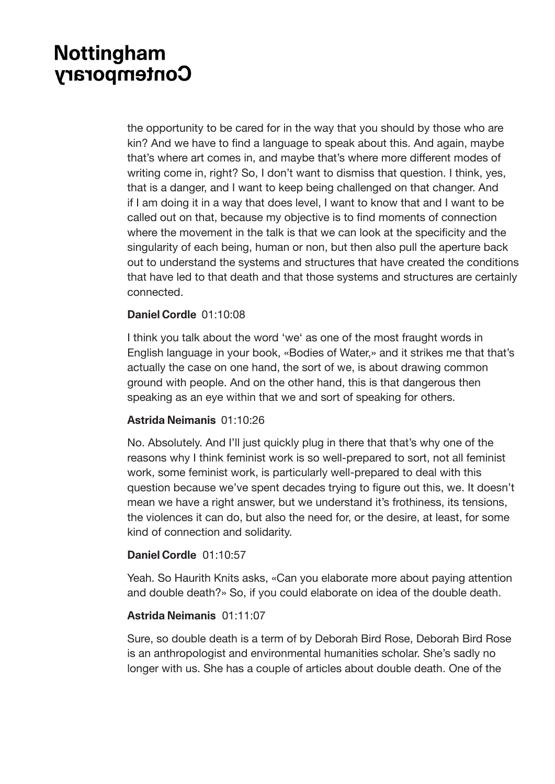the opportunity to be cared for in the way that you should by those who are kin? And we have to find a language to speak about this. And again, maybe that's where art comes in, and maybe that's where more different modes of writing come in, right? So, I don't want to dismiss that question. I think, yes, that is a danger, and I want to keep being challenged on that changer. And if I am doing it in a way that does level, I want to know that and I want to be called out on that, because my objective is to find moments of connection where the movement in the talk is that we can look at the specificity and the singularity of each being, human or non, but then also pull the aperture back out to understand the systems and structures that have created the conditions that have led to that death and that those systems and structures are certainly connected.

#### **Daniel Cordle** 01:10:08

I think you talk about the word 'we' as one of the most fraught words in English language in your book, «Bodies of Water,» and it strikes me that that's actually the case on one hand, the sort of we, is about drawing common ground with people. And on the other hand, this is that dangerous then speaking as an eye within that we and sort of speaking for others.

#### **Astrida Neimanis** 01:10:26

No. Absolutely. And I'll just quickly plug in there that that's why one of the reasons why I think feminist work is so well-prepared to sort, not all feminist work, some feminist work, is particularly well-prepared to deal with this question because we've spent decades trying to figure out this, we. It doesn't mean we have a right answer, but we understand it's frothiness, its tensions, the violences it can do, but also the need for, or the desire, at least, for some kind of connection and solidarity.

#### **Daniel Cordle** 01:10:57

Yeah. So Haurith Knits asks, «Can you elaborate more about paying attention and double death?» So, if you could elaborate on idea of the double death.

#### **Astrida Neimanis** 01:11:07

Sure, so double death is a term of by Deborah Bird Rose, Deborah Bird Rose is an anthropologist and environmental humanities scholar. She's sadly no longer with us. She has a couple of articles about double death. One of the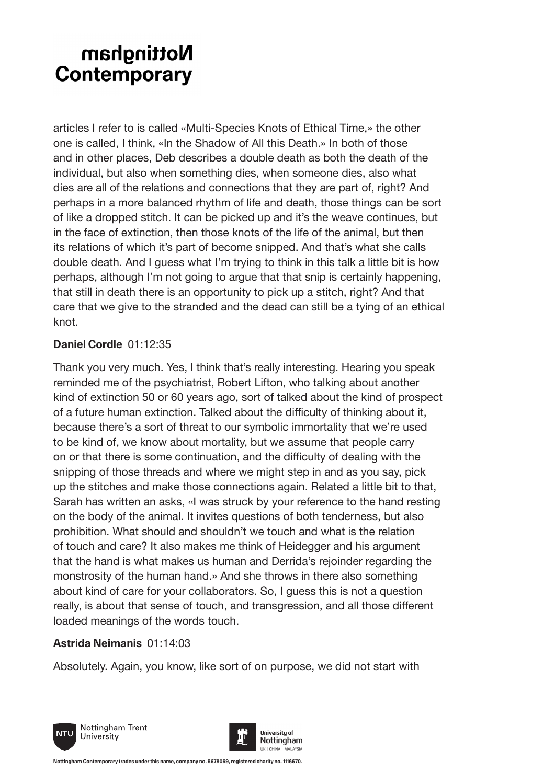articles I refer to is called «Multi-Species Knots of Ethical Time,» the other one is called, I think, «In the Shadow of All this Death.» In both of those and in other places, Deb describes a double death as both the death of the individual, but also when something dies, when someone dies, also what dies are all of the relations and connections that they are part of, right? And perhaps in a more balanced rhythm of life and death, those things can be sort of like a dropped stitch. It can be picked up and it's the weave continues, but in the face of extinction, then those knots of the life of the animal, but then its relations of which it's part of become snipped. And that's what she calls double death. And I guess what I'm trying to think in this talk a little bit is how perhaps, although I'm not going to argue that that snip is certainly happening, that still in death there is an opportunity to pick up a stitch, right? And that care that we give to the stranded and the dead can still be a tying of an ethical knot.

### **Daniel Cordle** 01:12:35

Thank you very much. Yes, I think that's really interesting. Hearing you speak reminded me of the psychiatrist, Robert Lifton, who talking about another kind of extinction 50 or 60 years ago, sort of talked about the kind of prospect of a future human extinction. Talked about the difficulty of thinking about it, because there's a sort of threat to our symbolic immortality that we're used to be kind of, we know about mortality, but we assume that people carry on or that there is some continuation, and the difficulty of dealing with the snipping of those threads and where we might step in and as you say, pick up the stitches and make those connections again. Related a little bit to that, Sarah has written an asks, «I was struck by your reference to the hand resting on the body of the animal. It invites questions of both tenderness, but also prohibition. What should and shouldn't we touch and what is the relation of touch and care? It also makes me think of Heidegger and his argument that the hand is what makes us human and Derrida's rejoinder regarding the monstrosity of the human hand.» And she throws in there also something about kind of care for your collaborators. So, I guess this is not a question really, is about that sense of touch, and transgression, and all those different loaded meanings of the words touch.

### **Astrida Neimanis** 01:14:03

Absolutely. Again, you know, like sort of on purpose, we did not start with



Nottingham Trent University



**Nottingham Contemporary trades under this name, company no. 5678059, registered charity no. 1116670.**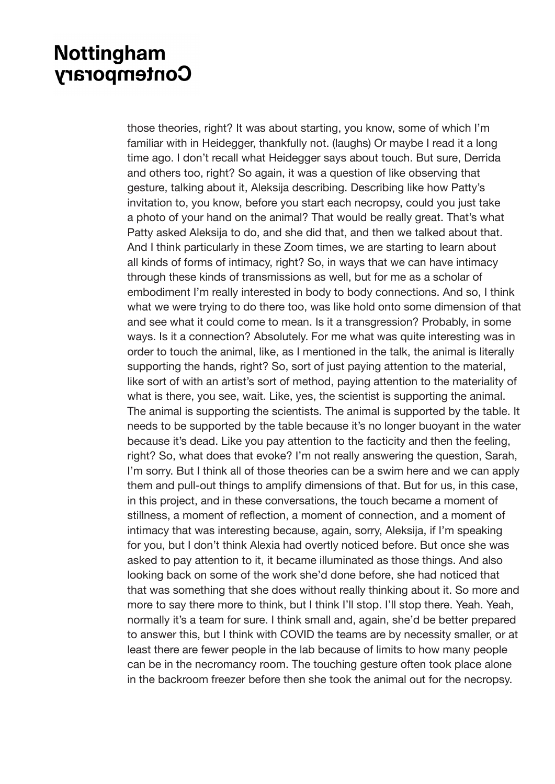those theories, right? It was about starting, you know, some of which I'm familiar with in Heidegger, thankfully not. (laughs) Or maybe I read it a long time ago. I don't recall what Heidegger says about touch. But sure, Derrida and others too, right? So again, it was a question of like observing that gesture, talking about it, Aleksija describing. Describing like how Patty's invitation to, you know, before you start each necropsy, could you just take a photo of your hand on the animal? That would be really great. That's what Patty asked Aleksija to do, and she did that, and then we talked about that. And I think particularly in these Zoom times, we are starting to learn about all kinds of forms of intimacy, right? So, in ways that we can have intimacy through these kinds of transmissions as well, but for me as a scholar of embodiment I'm really interested in body to body connections. And so, I think what we were trying to do there too, was like hold onto some dimension of that and see what it could come to mean. Is it a transgression? Probably, in some ways. Is it a connection? Absolutely. For me what was quite interesting was in order to touch the animal, like, as I mentioned in the talk, the animal is literally supporting the hands, right? So, sort of just paying attention to the material, like sort of with an artist's sort of method, paying attention to the materiality of what is there, you see, wait. Like, yes, the scientist is supporting the animal. The animal is supporting the scientists. The animal is supported by the table. It needs to be supported by the table because it's no longer buoyant in the water because it's dead. Like you pay attention to the facticity and then the feeling, right? So, what does that evoke? I'm not really answering the question, Sarah, I'm sorry. But I think all of those theories can be a swim here and we can apply them and pull-out things to amplify dimensions of that. But for us, in this case, in this project, and in these conversations, the touch became a moment of stillness, a moment of reflection, a moment of connection, and a moment of intimacy that was interesting because, again, sorry, Aleksija, if I'm speaking for you, but I don't think Alexia had overtly noticed before. But once she was asked to pay attention to it, it became illuminated as those things. And also looking back on some of the work she'd done before, she had noticed that that was something that she does without really thinking about it. So more and more to say there more to think, but I think I'll stop. I'll stop there. Yeah. Yeah, normally it's a team for sure. I think small and, again, she'd be better prepared to answer this, but I think with COVID the teams are by necessity smaller, or at least there are fewer people in the lab because of limits to how many people can be in the necromancy room. The touching gesture often took place alone in the backroom freezer before then she took the animal out for the necropsy.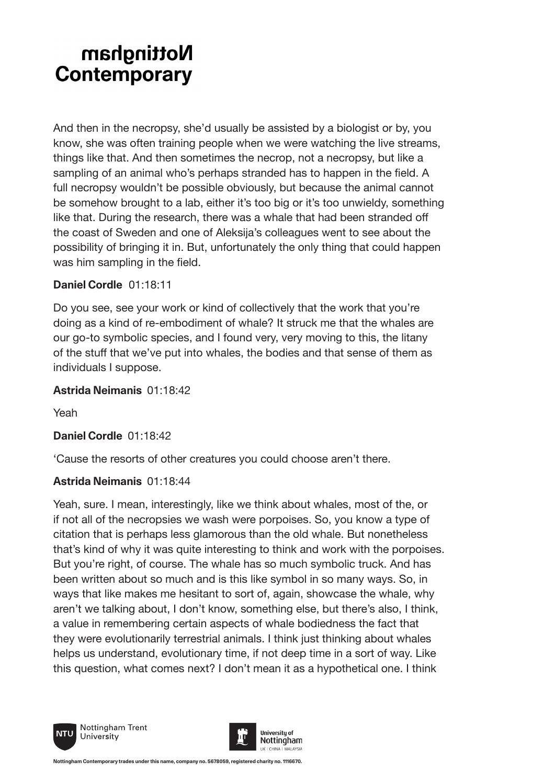And then in the necropsy, she'd usually be assisted by a biologist or by, you know, she was often training people when we were watching the live streams, things like that. And then sometimes the necrop, not a necropsy, but like a sampling of an animal who's perhaps stranded has to happen in the field. A full necropsy wouldn't be possible obviously, but because the animal cannot be somehow brought to a lab, either it's too big or it's too unwieldy, something like that. During the research, there was a whale that had been stranded off the coast of Sweden and one of Aleksija's colleagues went to see about the possibility of bringing it in. But, unfortunately the only thing that could happen was him sampling in the field.

#### **Daniel Cordle** 01:18:11

Do you see, see your work or kind of collectively that the work that you're doing as a kind of re-embodiment of whale? It struck me that the whales are our go-to symbolic species, and I found very, very moving to this, the litany of the stuff that we've put into whales, the bodies and that sense of them as individuals I suppose.

### **Astrida Neimanis** 01:18:42

Yeah

**Daniel Cordle** 01:18:42

'Cause the resorts of other creatures you could choose aren't there.

### **Astrida Neimanis** 01:18:44

Yeah, sure. I mean, interestingly, like we think about whales, most of the, or if not all of the necropsies we wash were porpoises. So, you know a type of citation that is perhaps less glamorous than the old whale. But nonetheless that's kind of why it was quite interesting to think and work with the porpoises. But you're right, of course. The whale has so much symbolic truck. And has been written about so much and is this like symbol in so many ways. So, in ways that like makes me hesitant to sort of, again, showcase the whale, why aren't we talking about, I don't know, something else, but there's also, I think, a value in remembering certain aspects of whale bodiedness the fact that they were evolutionarily terrestrial animals. I think just thinking about whales helps us understand, evolutionary time, if not deep time in a sort of way. Like this question, what comes next? I don't mean it as a hypothetical one. I think



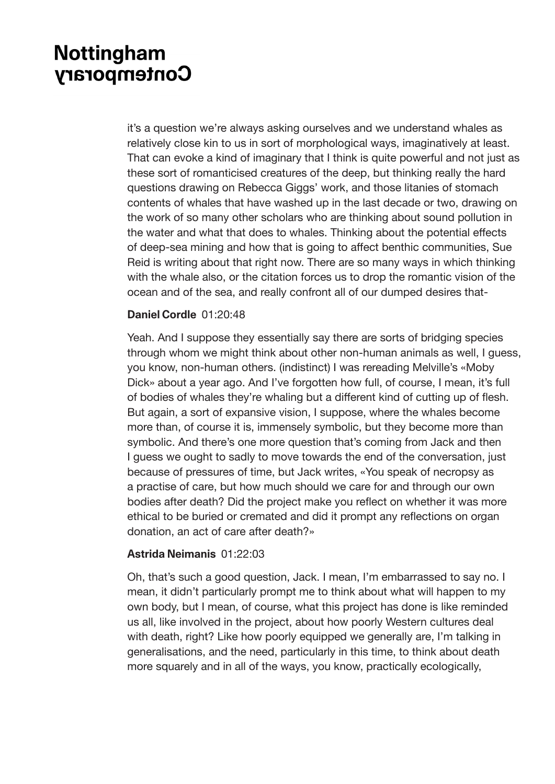it's a question we're always asking ourselves and we understand whales as relatively close kin to us in sort of morphological ways, imaginatively at least. That can evoke a kind of imaginary that I think is quite powerful and not just as these sort of romanticised creatures of the deep, but thinking really the hard questions drawing on Rebecca Giggs' work, and those litanies of stomach contents of whales that have washed up in the last decade or two, drawing on the work of so many other scholars who are thinking about sound pollution in the water and what that does to whales. Thinking about the potential effects of deep-sea mining and how that is going to affect benthic communities, Sue Reid is writing about that right now. There are so many ways in which thinking with the whale also, or the citation forces us to drop the romantic vision of the ocean and of the sea, and really confront all of our dumped desires that-

#### **Daniel Cordle** 01:20:48

Yeah. And I suppose they essentially say there are sorts of bridging species through whom we might think about other non-human animals as well, I guess, you know, non-human others. (indistinct) I was rereading Melville's «Moby Dick» about a year ago. And I've forgotten how full, of course, I mean, it's full of bodies of whales they're whaling but a different kind of cutting up of flesh. But again, a sort of expansive vision, I suppose, where the whales become more than, of course it is, immensely symbolic, but they become more than symbolic. And there's one more question that's coming from Jack and then I guess we ought to sadly to move towards the end of the conversation, just because of pressures of time, but Jack writes, «You speak of necropsy as a practise of care, but how much should we care for and through our own bodies after death? Did the project make you reflect on whether it was more ethical to be buried or cremated and did it prompt any reflections on organ donation, an act of care after death?»

#### **Astrida Neimanis** 01:22:03

Oh, that's such a good question, Jack. I mean, I'm embarrassed to say no. I mean, it didn't particularly prompt me to think about what will happen to my own body, but I mean, of course, what this project has done is like reminded us all, like involved in the project, about how poorly Western cultures deal with death, right? Like how poorly equipped we generally are, I'm talking in generalisations, and the need, particularly in this time, to think about death more squarely and in all of the ways, you know, practically ecologically,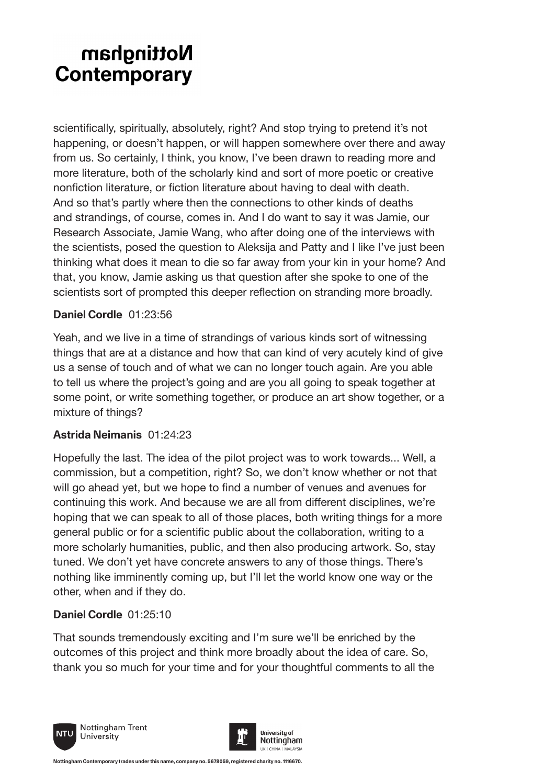scientifically, spiritually, absolutely, right? And stop trying to pretend it's not happening, or doesn't happen, or will happen somewhere over there and away from us. So certainly, I think, you know, I've been drawn to reading more and more literature, both of the scholarly kind and sort of more poetic or creative nonfiction literature, or fiction literature about having to deal with death. And so that's partly where then the connections to other kinds of deaths and strandings, of course, comes in. And I do want to say it was Jamie, our Research Associate, Jamie Wang, who after doing one of the interviews with the scientists, posed the question to Aleksija and Patty and I like I've just been thinking what does it mean to die so far away from your kin in your home? And that, you know, Jamie asking us that question after she spoke to one of the scientists sort of prompted this deeper reflection on stranding more broadly.

#### **Daniel Cordle** 01:23:56

Yeah, and we live in a time of strandings of various kinds sort of witnessing things that are at a distance and how that can kind of very acutely kind of give us a sense of touch and of what we can no longer touch again. Are you able to tell us where the project's going and are you all going to speak together at some point, or write something together, or produce an art show together, or a mixture of things?

### **Astrida Neimanis** 01:24:23

Hopefully the last. The idea of the pilot project was to work towards... Well, a commission, but a competition, right? So, we don't know whether or not that will go ahead yet, but we hope to find a number of venues and avenues for continuing this work. And because we are all from different disciplines, we're hoping that we can speak to all of those places, both writing things for a more general public or for a scientific public about the collaboration, writing to a more scholarly humanities, public, and then also producing artwork. So, stay tuned. We don't yet have concrete answers to any of those things. There's nothing like imminently coming up, but I'll let the world know one way or the other, when and if they do.

### **Daniel Cordle** 01:25:10

That sounds tremendously exciting and I'm sure we'll be enriched by the outcomes of this project and think more broadly about the idea of care. So, thank you so much for your time and for your thoughtful comments to all the



Nottingham Trent University



**Nottingham Contemporary trades under this name, company no. 5678059, registered charity no. 1116670.**